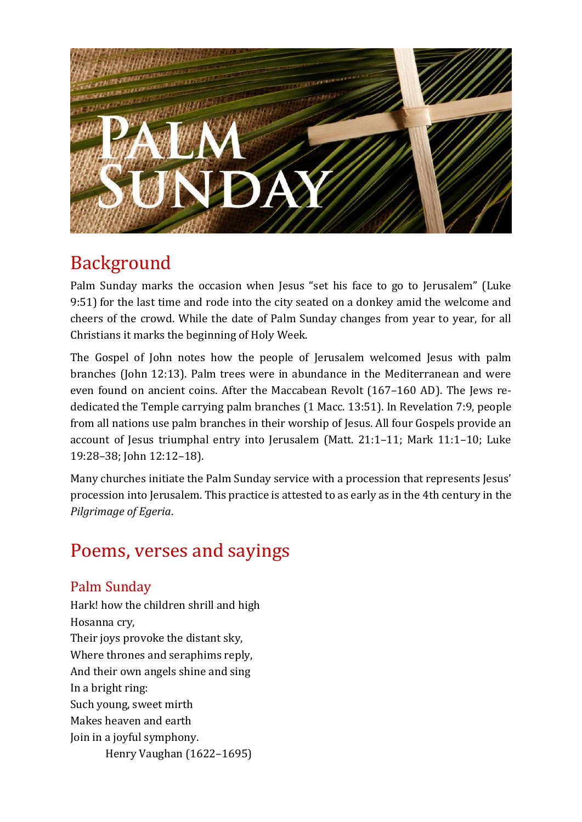

# Background

Palm Sunday marks the occasion when Jesus "set his face to go to Jerusalem" (Luke 9:51) for the last time and rode into the city seated on a donkey amid the welcome and cheers of the crowd. While the date of Palm Sunday changes from year to year, for all Christians it marks the beginning of Holy Week.

The Gospel of John notes how the people of Jerusalem welcomed Jesus with palm branches (John 12:13). Palm trees were in abundance in the Mediterranean and were even found on ancient coins. After the Maccabean Revolt (167–160 AD). The Jews rededicated the Temple carrying palm branches (1 Macc. 13:51). In Revelation 7:9, people from all nations use palm branches in their worship of Jesus. All four Gospels provide an account of Jesus triumphal entry into Jerusalem (Matt. 21:1–11; Mark 11:1–10; Luke 19:28–38; John 12:12–18).

Many churches initiate the Palm Sunday service with a procession that represents Jesus' procession into Jerusalem. This practice is attested to as early as in the 4th century in the *Pilgrimage of Egeria*.

# Poems, verses and sayings

### Palm Sunday

Hark! how the children shrill and high Hosanna cry, Their joys provoke the distant sky, Where thrones and seraphims reply, And their own angels shine and sing In a bright ring: Such young, sweet mirth Makes heaven and earth Join in a joyful symphony. Henry Vaughan (1622–1695)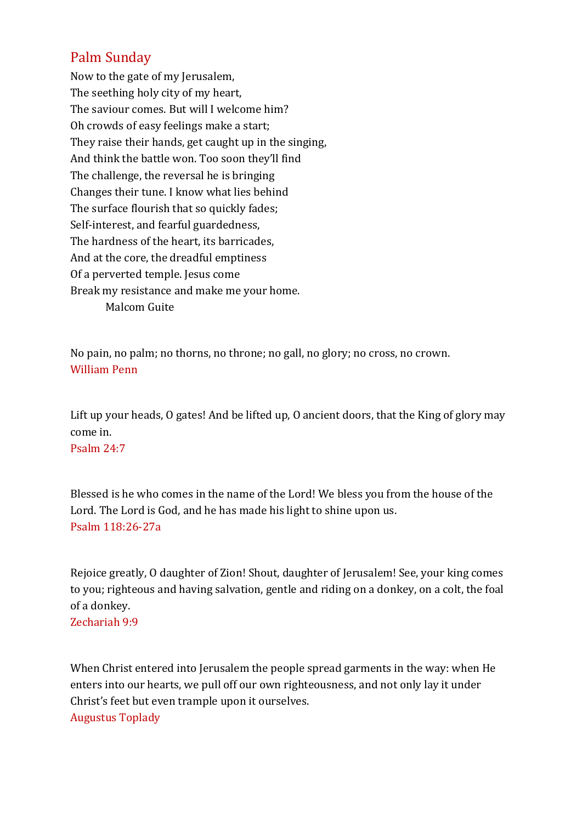### Palm Sunday

Now to the gate of my Jerusalem, The seething holy city of my heart, The saviour comes. But will I welcome him? Oh crowds of easy feelings make a start; They raise their hands, get caught up in the singing, And think the battle won. Too soon they'll find The challenge, the reversal he is bringing Changes their tune. I know what lies behind The surface flourish that so quickly fades; Self-interest, and fearful guardedness, The hardness of the heart, its barricades, And at the core, the dreadful emptiness Of a perverted temple. Jesus come Break my resistance and make me your home. Malcom Guite

No pain, no palm; no thorns, no throne; no gall, no glory; no cross, no crown. William Penn

Lift up your heads, O gates! And be lifted up, O ancient doors, that the King of glory may come in.

Psalm 24:7

Blessed is he who comes in the name of the Lord! We bless you from the house of the Lord. The Lord is God, and he has made his light to shine upon us. Psalm 118:26-27a

Rejoice greatly, O daughter of Zion! Shout, daughter of Jerusalem! See, your king comes to you; righteous and having salvation, gentle and riding on a donkey, on a colt, the foal of a donkey. Zechariah 9:9

When Christ entered into Jerusalem the people spread garments in the way: when He enters into our hearts, we pull off our own righteousness, and not only lay it under Christ's feet but even trample upon it ourselves. Augustus Toplady